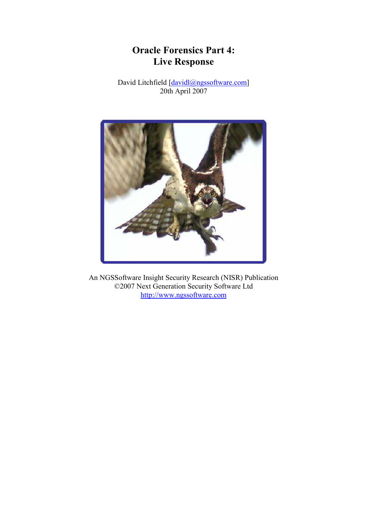# Oracle Forensics Part 4: Live Response

David Litchfield [davidl@ngssoftware.com] 20th April 2007



An NGSSoftware Insight Security Research (NISR) Publication ©2007 Next Generation Security Software Ltd http://www.ngssoftware.com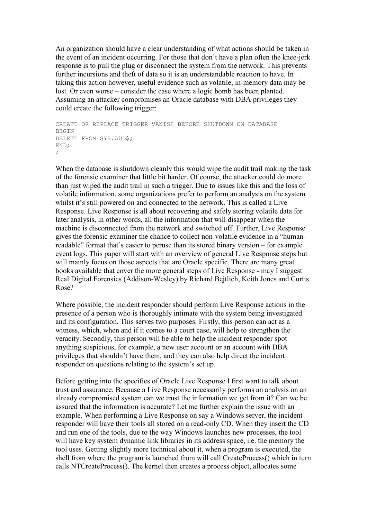An organization should have a clear understanding of what actions should be taken in the event of an incident occurring. For those that don't have a plan often the knee-jerk response is to pull the plug or disconnect the system from the network. This prevents further incursions and theft of data so it is an understandable reaction to have. In taking this action however, useful evidence such as volatile, in-memory data may be lost. Or even worse – consider the case where a logic bomb has been planted. Assuming an attacker compromises an Oracle database with DBA privileges they could create the following trigger:

```
CREATE OR REPLACE TRIGGER VANISH BEFORE SHUTDOWN ON DATABASE 
BEGIN
DELETE FROM SYS.AUD$; 
END; 
/
```
When the database is shutdown cleanly this would wipe the audit trail making the task of the forensic examiner that little bit harder. Of course, the attacker could do more than just wiped the audit trail in such a trigger. Due to issues like this and the loss of volatile information, some organizations prefer to perform an analysis on the system whilst it's still powered on and connected to the network. This is called a Live Response. Live Response is all about recovering and safely storing volatile data for later analysis, in other words, all the information that will disappear when the machine is disconnected from the network and switched off. Further, Live Response gives the forensic examiner the chance to collect non-volatile evidence in a "humanreadable" format that's easier to peruse than its stored binary version – for example event logs. This paper will start with an overview of general Live Response steps but will mainly focus on those aspects that are Oracle specific. There are many great books available that cover the more general steps of Live Response - may I suggest Real Digital Forensics (Addison-Wesley) by Richard Bejtlich, Keith Jones and Curtis Rose?

Where possible, the incident responder should perform Live Response actions in the presence of a person who is thoroughly intimate with the system being investigated and its configuration. This serves two purposes. Firstly, this person can act as a witness, which, when and if it comes to a court case, will help to strengthen the veracity. Secondly, this person will be able to help the incident responder spot anything suspicious, for example, a new user account or an account with DBA privileges that shouldn't have them, and they can also help direct the incident responder on questions relating to the system's set up.

Before getting into the specifics of Oracle Live Response I first want to talk about trust and assurance. Because a Live Response necessarily performs an analysis on an already compromised system can we trust the information we get from it? Can we be assured that the information is accurate? Let me further explain the issue with an example. When performing a Live Response on say a Windows server, the incident responder will have their tools all stored on a read-only CD. When they insert the CD and run one of the tools, due to the way Windows launches new processes, the tool will have key system dynamic link libraries in its address space, i.e. the memory the tool uses. Getting slightly more technical about it, when a program is executed, the shell from where the program is launched from will call CreateProcess() which in turn calls NTCreateProcess(). The kernel then creates a process object, allocates some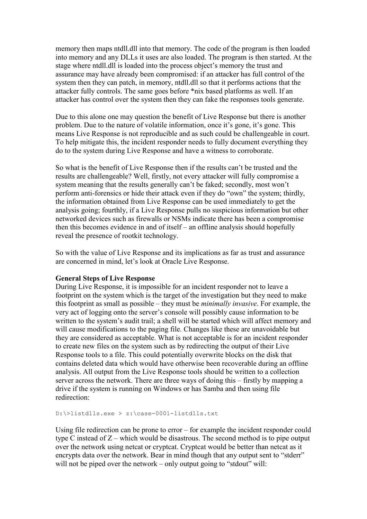memory then maps ntdll.dll into that memory. The code of the program is then loaded into memory and any DLLs it uses are also loaded. The program is then started. At the stage where ntdll.dll is loaded into the process object's memory the trust and assurance may have already been compromised: if an attacker has full control of the system then they can patch, in memory, ntdll.dll so that it performs actions that the attacker fully controls. The same goes before \*nix based platforms as well. If an attacker has control over the system then they can fake the responses tools generate.

Due to this alone one may question the benefit of Live Response but there is another problem. Due to the nature of volatile information, once it's gone, it's gone. This means Live Response is not reproducible and as such could be challengeable in court. To help mitigate this, the incident responder needs to fully document everything they do to the system during Live Response and have a witness to corroborate.

So what is the benefit of Live Response then if the results can't be trusted and the results are challengeable? Well, firstly, not every attacker will fully compromise a system meaning that the results generally can't be faked; secondly, most won't perform anti-forensics or hide their attack even if they do "own" the system; thirdly, the information obtained from Live Response can be used immediately to get the analysis going; fourthly, if a Live Response pulls no suspicious information but other networked devices such as firewalls or NSMs indicate there has been a compromise then this becomes evidence in and of itself – an offline analysis should hopefully reveal the presence of rootkit technology.

So with the value of Live Response and its implications as far as trust and assurance are concerned in mind, let's look at Oracle Live Response.

# General Steps of Live Response

During Live Response, it is impossible for an incident responder not to leave a footprint on the system which is the target of the investigation but they need to make this footprint as small as possible – they must be minimally invasive. For example, the very act of logging onto the server's console will possibly cause information to be written to the system's audit trail; a shell will be started which will affect memory and will cause modifications to the paging file. Changes like these are unavoidable but they are considered as acceptable. What is not acceptable is for an incident responder to create new files on the system such as by redirecting the output of their Live Response tools to a file. This could potentially overwrite blocks on the disk that contains deleted data which would have otherwise been recoverable during an offline analysis. All output from the Live Response tools should be written to a collection server across the network. There are three ways of doing this – firstly by mapping a drive if the system is running on Windows or has Samba and then using file redirection:

D:\>listdlls.exe > z:\case-0001-listdlls.txt

Using file redirection can be prone to error – for example the incident responder could type C instead of Z – which would be disastrous. The second method is to pipe output over the network using netcat or cryptcat. Cryptcat would be better than netcat as it encrypts data over the network. Bear in mind though that any output sent to "stderr" will not be piped over the network – only output going to "stdout" will: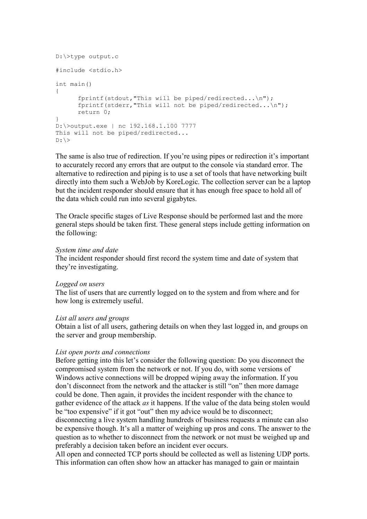```
D:\>type output.c 
#include <stdio.h> 
int main() 
{ 
       fprintf(stdout,"This will be piped/redirected...\n"); 
      fprintf(stderr, "This will not be piped/redirected...\n\cdot \n\cdot");
       return 0; 
} 
D:\>output.exe | nc 192.168.1.100 7777 
This will not be piped/redirected... 
D: \>
```
The same is also true of redirection. If you're using pipes or redirection it's important to accurately record any errors that are output to the console via standard error. The alternative to redirection and piping is to use a set of tools that have networking built directly into them such a WebJob by KoreLogic. The collection server can be a laptop but the incident responder should ensure that it has enough free space to hold all of the data which could run into several gigabytes.

The Oracle specific stages of Live Response should be performed last and the more general steps should be taken first. These general steps include getting information on the following:

# System time and date

The incident responder should first record the system time and date of system that they're investigating.

# Logged on users

The list of users that are currently logged on to the system and from where and for how long is extremely useful.

# List all users and groups

Obtain a list of all users, gathering details on when they last logged in, and groups on the server and group membership.

# List open ports and connections

Before getting into this let's consider the following question: Do you disconnect the compromised system from the network or not. If you do, with some versions of Windows active connections will be dropped wiping away the information. If you don't disconnect from the network and the attacker is still "on" then more damage could be done. Then again, it provides the incident responder with the chance to gather evidence of the attack as it happens. If the value of the data being stolen would be "too expensive" if it got "out" then my advice would be to disconnect;

disconnecting a live system handling hundreds of business requests a minute can also be expensive though. It's all a matter of weighing up pros and cons. The answer to the question as to whether to disconnect from the network or not must be weighed up and preferably a decision taken before an incident ever occurs.

All open and connected TCP ports should be collected as well as listening UDP ports. This information can often show how an attacker has managed to gain or maintain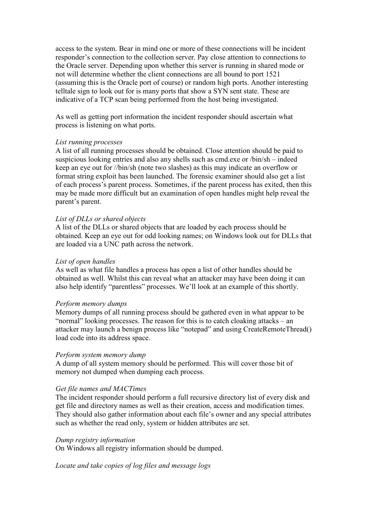access to the system. Bear in mind one or more of these connections will be incident responder's connection to the collection server. Pay close attention to connections to the Oracle server. Depending upon whether this server is running in shared mode or not will determine whether the client connections are all bound to port 1521 (assuming this is the Oracle port of course) or random high ports. Another interesting telltale sign to look out for is many ports that show a SYN sent state. These are indicative of a TCP scan being performed from the host being investigated.

As well as getting port information the incident responder should ascertain what process is listening on what ports.

# List running processes

A list of all running processes should be obtained. Close attention should be paid to suspicious looking entries and also any shells such as cmd.exe or /bin/sh – indeed keep an eye out for //bin/sh (note two slashes) as this may indicate an overflow or format string exploit has been launched. The forensic examiner should also get a list of each process's parent process. Sometimes, if the parent process has exited, then this may be made more difficult but an examination of open handles might help reveal the parent's parent.

# List of DLLs or shared objects

A list of the DLLs or shared objects that are loaded by each process should be obtained. Keep an eye out for odd looking names; on Windows look out for DLLs that are loaded via a UNC path across the network.

# List of open handles

As well as what file handles a process has open a list of other handles should be obtained as well. Whilst this can reveal what an attacker may have been doing it can also help identify "parentless" processes. We'll look at an example of this shortly.

# Perform memory dumps

Memory dumps of all running process should be gathered even in what appear to be "normal" looking processes. The reason for this is to catch cloaking attacks – an attacker may launch a benign process like "notepad" and using CreateRemoteThread() load code into its address space.

# Perform system memory dump

A dump of all system memory should be performed. This will cover those bit of memory not dumped when dumping each process.

# Get file names and MACTimes

The incident responder should perform a full recursive directory list of every disk and get file and directory names as well as their creation, access and modification times. They should also gather information about each file's owner and any special attributes such as whether the read only, system or hidden attributes are set.

# Dump registry information

On Windows all registry information should be dumped.

Locate and take copies of log files and message logs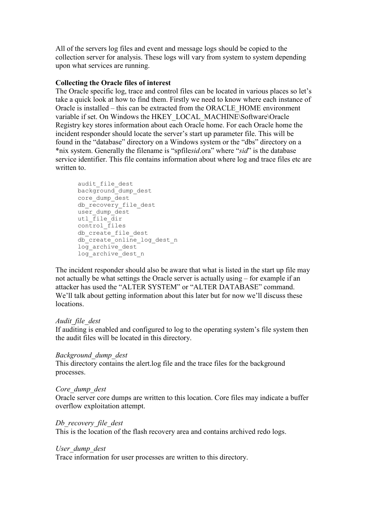All of the servers log files and event and message logs should be copied to the collection server for analysis. These logs will vary from system to system depending upon what services are running.

# Collecting the Oracle files of interest

The Oracle specific log, trace and control files can be located in various places so let's take a quick look at how to find them. Firstly we need to know where each instance of Oracle is installed – this can be extracted from the ORACLE\_HOME environment variable if set. On Windows the HKEY\_LOCAL\_MACHINE\Software\Oracle Registry key stores information about each Oracle home. For each Oracle home the incident responder should locate the server's start up parameter file. This will be found in the "database" directory on a Windows system or the "dbs" directory on a \*nix system. Generally the filename is "spfilesid.ora" where "sid" is the database service identifier. This file contains information about where log and trace files etc are written to

audit file dest background\_dump\_dest core dump dest db recovery file dest user dump dest utl  $file$  dir control files db create file dest db<sup>-</sup>create<sup>-</sup>online log dest n  $log$  archive dest log\_archive\_dest\_n

The incident responder should also be aware that what is listed in the start up file may not actually be what settings the Oracle server is actually using – for example if an attacker has used the "ALTER SYSTEM" or "ALTER DATABASE" command. We'll talk about getting information about this later but for now we'll discuss these locations.

# Audit file dest

If auditing is enabled and configured to log to the operating system's file system then the audit files will be located in this directory.

# Background\_dump\_dest

This directory contains the alert.log file and the trace files for the background processes.

# Core dump dest

Oracle server core dumps are written to this location. Core files may indicate a buffer overflow exploitation attempt.

# Db recovery file dest

This is the location of the flash recovery area and contains archived redo logs.

# User\_dump\_dest

Trace information for user processes are written to this directory.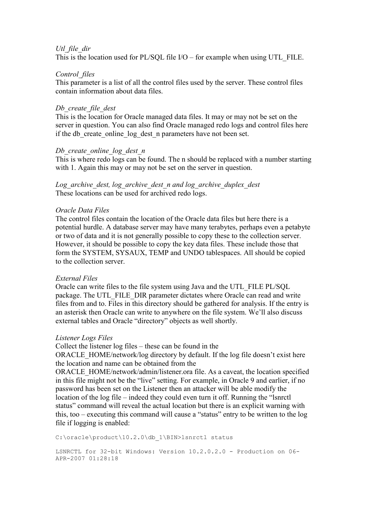# Utl file dir

This is the location used for PL/SQL file  $I/O$  – for example when using UTL FILE.

# Control files

This parameter is a list of all the control files used by the server. These control files contain information about data files.

# Db create file dest

This is the location for Oracle managed data files. It may or may not be set on the server in question. You can also find Oracle managed redo logs and control files here if the db create online log dest n parameters have not been set.

# Db create online  $log$  dest  $n$

This is where redo logs can be found. The n should be replaced with a number starting with 1. Again this may or may not be set on the server in question.

Log archive dest, log archive dest n and log archive duplex dest These locations can be used for archived redo logs.

# Oracle Data Files

The control files contain the location of the Oracle data files but here there is a potential hurdle. A database server may have many terabytes, perhaps even a petabyte or two of data and it is not generally possible to copy these to the collection server. However, it should be possible to copy the key data files. These include those that form the SYSTEM, SYSAUX, TEMP and UNDO tablespaces. All should be copied to the collection server.

# External Files

Oracle can write files to the file system using Java and the UTL\_FILE PL/SQL package. The UTL\_FILE\_DIR parameter dictates where Oracle can read and write files from and to. Files in this directory should be gathered for analysis. If the entry is an asterisk then Oracle can write to anywhere on the file system. We'll also discuss external tables and Oracle "directory" objects as well shortly.

# Listener Logs Files

file if logging is enabled:

Collect the listener log files – these can be found in the ORACLE\_HOME/network/log directory by default. If the log file doesn't exist here the location and name can be obtained from the ORACLE\_HOME/network/admin/listener.ora file. As a caveat, the location specified in this file might not be the "live" setting. For example, in Oracle 9 and earlier, if no password has been set on the Listener then an attacker will be able modify the location of the log file – indeed they could even turn it off. Running the "lsnrctl status" command will reveal the actual location but there is an explicit warning with this, too – executing this command will cause a "status" entry to be written to the log

C:\oracle\product\10.2.0\db 1\BIN>lsnrctl status

LSNRCTL for 32-bit Windows: Version 10.2.0.2.0 - Production on 06- APR-2007 01:28:18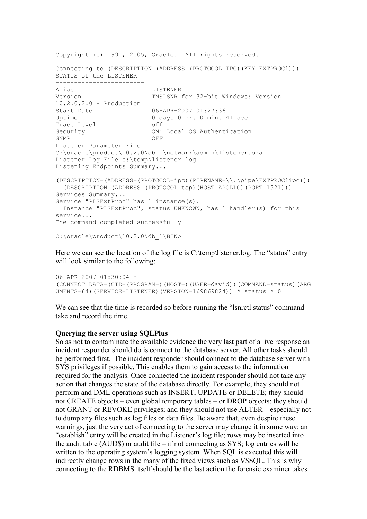```
Copyright (c) 1991, 2005, Oracle. All rights reserved. 
Connecting to (DESCRIPTION=(ADDRESS=(PROTOCOL=IPC)(KEY=EXTPROC1))) 
STATUS of the LISTENER 
------------------------ 
Alias LISTENER 
Version TNSLSNR for 32-bit Windows: Version 
10.2.0.2.0 - Production 
Start Date 06-APR-2007 01:27:36<br>Uptime 0 days 0 hr. 0 min.
                        0 days 0 hr. 0 min. 41 sec<br>off
Trace Level
Security ON: Local OS Authentication<br>
SNMP
OFF
SNMP OFF
Listener Parameter File 
C:\oracle\product\10.2.0\db 1\network\admin\listener.ora
Listener Log File c:\temp\listener.log 
Listening Endpoints Summary... 
(DESCRIPTION=(ADDRESS=(PROTOCOL=ipc)(PIPENAME=\\.\pipe\EXTPROC1ipc))) 
  (DESCRIPTION=(ADDRESS=(PROTOCOL=tcp)(HOST=APOLLO)(PORT=1521))) 
Services Summary... 
Service "PLSExtProc" has 1 instance(s).
  Instance "PLSExtProc", status UNKNOWN, has 1 handler(s) for this 
service... 
The command completed successfully 
C:\oracle\product\10.2.0\db 1\BIN>
```
Here we can see the location of the log file is C:\temp\listener.log. The "status" entry will look similar to the following:

```
06-APR-2007 01:30:04 * 
(CONNECT_DATA=(CID=(PROGRAM=)(HOST=)(USER=david))(COMMAND=status)(ARG
UMENTS=64)(SERVICE=LISTENER)(VERSION=169869824)) * status * 0
```
We can see that the time is recorded so before running the "lsnrctl status" command take and record the time.

### Querying the server using SQLPlus

So as not to contaminate the available evidence the very last part of a live response an incident responder should do is connect to the database server. All other tasks should be performed first. The incident responder should connect to the database server with SYS privileges if possible. This enables them to gain access to the information required for the analysis. Once connected the incident responder should not take any action that changes the state of the database directly. For example, they should not perform and DML operations such as INSERT, UPDATE or DELETE; they should not CREATE objects – even global temporary tables – or DROP objects; they should not GRANT or REVOKE privileges; and they should not use ALTER – especially not to dump any files such as log files or data files. Be aware that, even despite these warnings, just the very act of connecting to the server may change it in some way: an "establish" entry will be created in the Listener's log file; rows may be inserted into the audit table (AUD\$) or audit file – if not connecting as SYS; log entries will be written to the operating system's logging system. When SQL is executed this will indirectly change rows in the many of the fixed views such as V\$SQL. This is why connecting to the RDBMS itself should be the last action the forensic examiner takes.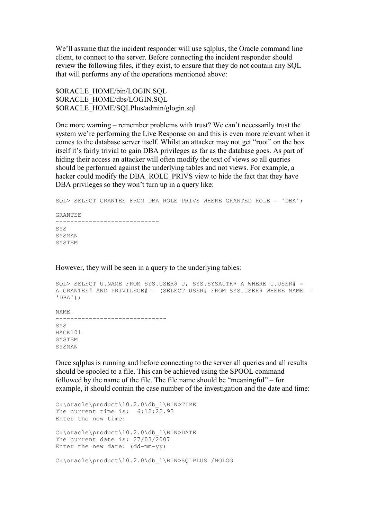We'll assume that the incident responder will use sqlplus, the Oracle command line client, to connect to the server. Before connecting the incident responder should review the following files, if they exist, to ensure that they do not contain any SQL that will performs any of the operations mentioned above:

\$ORACLE\_HOME/bin/LOGIN.SQL \$ORACLE\_HOME/dbs/LOGIN.SQL \$ORACLE\_HOME/SQLPlus/admin/glogin.sql

One more warning – remember problems with trust? We can't necessarily trust the system we're performing the Live Response on and this is even more relevant when it comes to the database server itself. Whilst an attacker may not get "root" on the box itself it's fairly trivial to gain DBA privileges as far as the database goes. As part of hiding their access an attacker will often modify the text of views so all queries should be performed against the underlying tables and not views. For example, a hacker could modify the DBA\_ROLE\_PRIVS view to hide the fact that they have DBA privileges so they won't turn up in a query like:

SQL> SELECT GRANTEE FROM DBA ROLE PRIVS WHERE GRANTED ROLE =  $'DBA'$ ; GRANTEE ---------------------------- SYS SYSMAN SYSTEM

However, they will be seen in a query to the underlying tables:

```
SOL> SELECT U.NAME FROM SYS.USER$ U, SYS.SYSAUTH$ A WHERE U.USER# =
A.GRANTEE# AND PRIVILEGE# = (SELECT USER# FROM SYS.USER$ WHERE NAME = 
'DBA'); 
NAME 
------------------------------ 
SYS 
HACK101 
SYSTEM 
SYSMAN
```
Once sqlplus is running and before connecting to the server all queries and all results should be spooled to a file. This can be achieved using the SPOOL command followed by the name of the file. The file name should be "meaningful" – for example, it should contain the case number of the investigation and the date and time:

```
C:\oracle\product\10.2.0\db_1\BIN>TIME 
The current time is: 6:12:22.93
Enter the new time: 
C:\oracle\product\10.2.0\db_1\BIN>DATE 
The current date is: 27/03/\overline{2}007Enter the new date: (dd-mm-yy) 
C:\oracle\product\10.2.0\db_1\BIN>SQLPLUS /NOLOG
```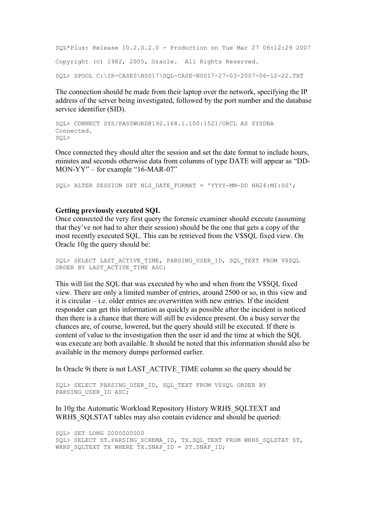```
SQL*Plus: Release 10.2.0.2.0 - Production on Tue Mar 27 06:12:29 2007 
Copyright (c) 1982, 2005, Oracle. All Rights Reserved. 
SQL> SPOOL C:\IR-CASES\N0017\SQL-CASE-N0017-27-03-2007-06-12-22.TXT
```
The connection should be made from their laptop over the network, specifying the IP address of the server being investigated, followed by the port number and the database service identifier (SID).

```
SQL> CONNECT SYS/PASSWORD@192.168.1.100:1521/ORCL AS SYSDBA 
Connected. 
SQL>
```
Once connected they should alter the session and set the date format to include hours, minutes and seconds otherwise data from columns of type DATE will appear as "DD-MON-YY" – for example "16-MAR-07"

SQL> ALTER SESSION SET NLS DATE FORMAT = 'YYYY-MM-DD HH24:MI:SS';

### Getting previously executed SQL

Once connected the very first query the forensic examiner should execute (assuming that they've not had to alter their session) should be the one that gets a copy of the most recently executed SQL. This can be retrieved from the V\$SQL fixed view. On Oracle 10g the query should be:

```
SOL> SELECT LAST ACTIVE TIME, PARSING USER ID, SOL TEXT FROM V$SOL
ORDER BY LAST ACTIVE TIME ASC;
```
This will list the SQL that was executed by who and when from the V\$SQL fixed view. There are only a limited number of entries, around 2500 or so, in this view and it is circular – i.e. older entries are overwritten with new entries. If the incident responder can get this information as quickly as possible after the incident is noticed then there is a chance that there will still be evidence present. On a busy server the chances are, of course, lowered, but the query should still be executed. If there is content of value to the investigation then the user id and the time at which the SQL was execute are both available. It should be noted that this information should also be available in the memory dumps performed earlier.

In Oracle 9i there is not LAST\_ACTIVE\_TIME column so the query should be

SQL> SELECT PARSING\_USER\_ID, SQL\_TEXT FROM V\$SQL ORDER BY PARSING USER ID ASC;

In 10g the Automatic Workload Repository History WRH\$\_SQLTEXT and WRH\$ SQLSTAT tables may also contain evidence and should be queried:

SQL> SET LONG 2000000000 SQL> SELECT ST. PARSING SCHEMA ID, TX.SQL TEXT FROM WRH\$ SQLSTAT ST, WRH\$ SQLTEXT TX WHERE TX.SNAP ID = ST.SNAP ID;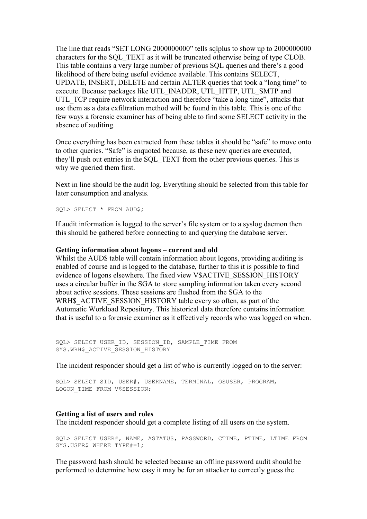The line that reads "SET LONG 2000000000" tells sqlplus to show up to 2000000000 characters for the SQL\_TEXT as it will be truncated otherwise being of type CLOB. This table contains a very large number of previous SQL queries and there's a good likelihood of there being useful evidence available. This contains SELECT, UPDATE, INSERT, DELETE and certain ALTER queries that took a "long time" to execute. Because packages like UTL\_INADDR, UTL\_HTTP, UTL\_SMTP and UTL TCP require network interaction and therefore "take a long time", attacks that use them as a data exfiltration method will be found in this table. This is one of the few ways a forensic examiner has of being able to find some SELECT activity in the absence of auditing.

Once everything has been extracted from these tables it should be "safe" to move onto to other queries. "Safe" is enquoted because, as these new queries are executed, they'll push out entries in the SQL\_TEXT from the other previous queries. This is why we queried them first.

Next in line should be the audit log. Everything should be selected from this table for later consumption and analysis.

SQL> SELECT \* FROM AUD\$;

If audit information is logged to the server's file system or to a syslog daemon then this should be gathered before connecting to and querying the database server.

### Getting information about logons – current and old

Whilst the AUD\$ table will contain information about logons, providing auditing is enabled of course and is logged to the database, further to this it is possible to find evidence of logons elsewhere. The fixed view V\$ACTIVE\_SESSION\_HISTORY uses a circular buffer in the SGA to store sampling information taken every second about active sessions. These sessions are flushed from the SGA to the WRH\$\_ACTIVE\_SESSION\_HISTORY table every so often, as part of the Automatic Workload Repository. This historical data therefore contains information that is useful to a forensic examiner as it effectively records who was logged on when.

SOL> SELECT USER ID, SESSION ID, SAMPLE TIME FROM SYS.WRH\$ ACTIVE SESSION HISTORY

The incident responder should get a list of who is currently logged on to the server:

```
SQL> SELECT SID, USER#, USERNAME, TERMINAL, OSUSER, PROGRAM, 
LOGON TIME FROM V$SESSION;
```
# Getting a list of users and roles

The incident responder should get a complete listing of all users on the system.

SQL> SELECT USER#, NAME, ASTATUS, PASSWORD, CTIME, PTIME, LTIME FROM SYS.USER\$ WHERE TYPE#=1;

The password hash should be selected because an offline password audit should be performed to determine how easy it may be for an attacker to correctly guess the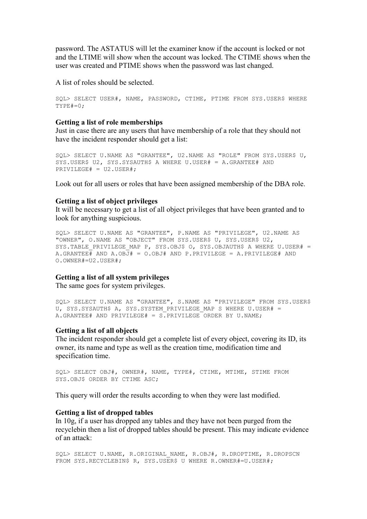password. The ASTATUS will let the examiner know if the account is locked or not and the LTIME will show when the account was locked. The CTIME shows when the user was created and PTIME shows when the password was last changed.

A list of roles should be selected.

```
SQL> SELECT USER#, NAME, PASSWORD, CTIME, PTIME FROM SYS.USER$ WHERE 
TYPE#=0:
```
### Getting a list of role memberships

Just in case there are any users that have membership of a role that they should not have the incident responder should get a list:

```
SQL> SELECT U.NAME AS "GRANTEE", U2.NAME AS "ROLE" FROM SYS.USER$ U, 
SYS.USER$ U2, SYS.SYSAUTH$ A WHERE U.USER# = A.GRANTEE# AND 
PRIVILEGE# = U2.USER#;
```
Look out for all users or roles that have been assigned membership of the DBA role.

### Getting a list of object privileges

It will be necessary to get a list of all object privileges that have been granted and to look for anything suspicious.

```
SQL> SELECT U.NAME AS "GRANTEE", P.NAME AS "PRIVILEGE", U2.NAME AS 
"OWNER", O.NAME AS "OBJECT" FROM SYS.USER$ U, SYS.USER$ U2, 
SYS. TABLE PRIVILEGE MAP P, SYS. OBJ$ O, SYS. OBJAUTH$ A WHERE U.USER# =
A.GRANTEE# AND A.OBJ# = 0.OBJ# AND P.PRIVILEGE = A.PRIVILEGE# AND
O.OWNER#=U2.USER#;
```
### Getting a list of all system privileges

The same goes for system privileges.

```
SQL> SELECT U.NAME AS "GRANTEE", S.NAME AS "PRIVILEGE" FROM SYS.USER$ 
U, SYS.SYSAUTH$ A, SYS.SYSTEM PRIVILEGE MAP S WHERE U.USER# =
A.GRANTEE# AND PRIVILEGE# = S.PRIVILEGE ORDER BY U.NAME;
```
#### Getting a list of all objects

The incident responder should get a complete list of every object, covering its ID, its owner, its name and type as well as the creation time, modification time and specification time.

```
SQL> SELECT OBJ#, OWNER#, NAME, TYPE#, CTIME, MTIME, STIME FROM 
SYS.OBJ$ ORDER BY CTIME ASC;
```
This query will order the results according to when they were last modified.

### Getting a list of dropped tables

In 10g, if a user has dropped any tables and they have not been purged from the recyclebin then a list of dropped tables should be present. This may indicate evidence of an attack:

```
SQL> SELECT U.NAME, R.ORIGINAL_NAME, R.OBJ#, R.DROPTIME, R.DROPSCN 
FROM SYS.RECYCLEBIN$ R, SYS.USER$ U WHERE R.OWNER#=U.USER#;
```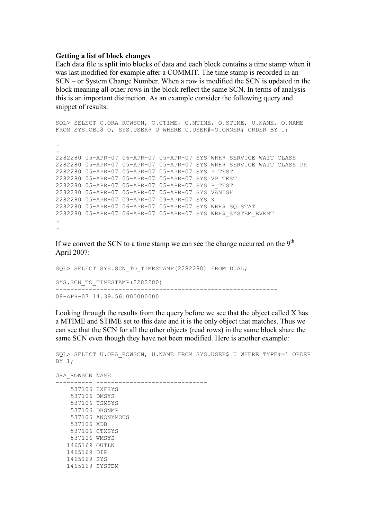### Getting a list of block changes

Each data file is split into blocks of data and each block contains a time stamp when it was last modified for example after a COMMIT. The time stamp is recorded in an SCN – or System Change Number. When a row is modified the SCN is updated in the block meaning all other rows in the block reflect the same SCN. In terms of analysis this is an important distinction. As an example consider the following query and snippet of results:

```
SQL> SELECT O.ORA ROWSCN, O.CTIME, O.MTIME, O.STIME, U.NAME, O.NAME
FROM SYS.OBJ$ O, SYS.USER$ U WHERE U.USER#=0.OWNER# ORDER BY 1;
… 
… 
2282280 05-APR-07 06-APR-07 05-APR-07 SYS WRH$_SERVICE_WAIT_CLASS 
2282280 05-APR-07 05-APR-07 05-APR-07 SYS WRH$_SERVICE_WAIT_CLASS_PK 
2282280 05-APR-07 05-APR-07 05-APR-07 SYS P_TEST 
2282280 05-APR-07 05-APR-07 05-APR-07 SYS VP_TEST 
2282280 05-APR-07 05-APR-07 05-APR-07 SYS P_TEST 
2282280 05-APR-07 05-APR-07 05-APR-07 SYS VANISH 
2282280 05-APR-07 09-APR-07 09-APR-07 SYS X 
2282280 05-APR-07 06-APR-07 05-APR-07 SYS WRH$_SQLSTAT 
2282280 05-APR-07 06-APR-07 05-APR-07 SYS WRH$_SYSTEM_EVENT 
… 
…
```
If we convert the SCN to a time stamp we can see the change occurred on the  $9<sup>th</sup>$ April 2007:

SQL> SELECT SYS.SCN TO TIMESTAMP(2282280) FROM DUAL; SYS.SCN\_TO\_TIMESTAMP(2282280) ------------------------------------------------------------

09-APR-07 14.39.56.000000000

1465169 SYSTEM

Looking through the results from the query before we see that the object called X has a MTIME and STIME set to this date and it is the only object that matches. Thus we can see that the SCN for all the other objects (read rows) in the same block share the same SCN even though they have not been modified. Here is another example:

SQL> SELECT U.ORA ROWSCN, U.NAME FROM SYS.USER\$ U WHERE TYPE#=1 ORDER BY 1; ORA\_ROWSCN NAME ---------- ------------------------------ 537106 EXFSYS 537106 DMSYS 537106 TSMSYS 537106 DBSNMP 537106 ANONYMOUS 537106 XDB 537106 CTXSYS 537106 WMSYS 1465169 OUTLN 1465169 DIP 1465169 SYS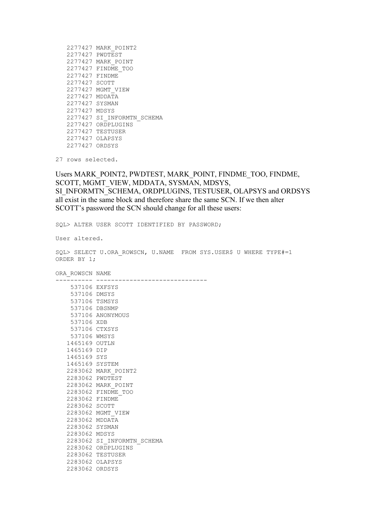| 2277427 | MARK POINT2        |
|---------|--------------------|
| 2277427 | PWDTEST            |
| 2277427 | MARK POINT         |
| 2277427 | FINDME TOO         |
| 2277427 | FINDME             |
| 2277427 | SCOTT              |
| 2277427 | MGMT VIEW          |
| 2277427 | MDDATA             |
| 2277427 | SYSMAN             |
| 2277427 | MDSYS              |
| 2277427 | SI INFORMTN SCHEMA |
| 2277427 | ORDPLUGINS         |
| 2277427 | TESTUSER           |
|         | 2277427 OLAPSYS    |
| 2277427 | ORDSYS             |

27 rows selected.

Users MARK\_POINT2, PWDTEST, MARK\_POINT, FINDME\_TOO, FINDME, SCOTT, MGMT\_VIEW, MDDATA, SYSMAN, MDSYS, SI\_INFORMTN\_SCHEMA, ORDPLUGINS, TESTUSER, OLAPSYS and ORDSYS all exist in the same block and therefore share the same SCN. If we then alter SCOTT's password the SCN should change for all these users:

SQL> ALTER USER SCOTT IDENTIFIED BY PASSWORD;

User altered.

SQL> SELECT U.ORA ROWSCN, U.NAME FROM SYS.USER\$ U WHERE TYPE#=1 ORDER BY 1;

ORA\_ROWSCN NAME

| 537106 EXFSYS  |                            |
|----------------|----------------------------|
| 537106 DMSYS   |                            |
|                | 537106 TSMSYS              |
| 537106 DBSNMP  |                            |
|                | 537106 ANONYMOUS           |
| 537106 XDB     |                            |
| 537106 CTXSYS  |                            |
| 537106 WMSYS   |                            |
| 1465169 OUTLN  |                            |
| 1465169 DIP    |                            |
| 1465169 SYS    |                            |
| 1465169 SYSTEM |                            |
|                | 2283062 MARK POINT2        |
|                | 2283062 PWDTEST            |
|                | 2283062 MARK POINT         |
|                | 2283062 FINDME TOO         |
|                |                            |
| 2283062 FINDME |                            |
| 2283062 SCOTT  |                            |
| 2283062 MDDATA | 2283062 MGMT VIEW          |
|                |                            |
| 2283062 SYSMAN |                            |
| 2283062 MDSYS  |                            |
|                | 2283062 SI INFORMTN SCHEMA |
|                | 2283062 ORDPLUGINS         |
|                | 2283062 TESTUSER           |
|                | 2283062 OLAPSYS            |
| 2283062 ORDSYS |                            |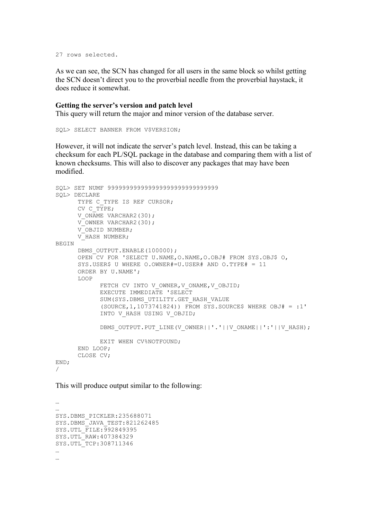```
27 rows selected.
```
As we can see, the SCN has changed for all users in the same block so whilst getting the SCN doesn't direct you to the proverbial needle from the proverbial haystack, it does reduce it somewhat.

### Getting the server's version and patch level

This query will return the major and minor version of the database server.

SQL> SELECT BANNER FROM V\$VERSION;

However, it will not indicate the server's patch level. Instead, this can be taking a checksum for each PL/SQL package in the database and comparing them with a list of known checksums. This will also to discover any packages that may have been modified.

```
SQL> SET NUMF 999999999999999999999999999999 
SQL> DECLARE 
      TYPE C TYPE IS REF CURSOR;
      CV C TYPE;
      V ONAME VARCHAR2(30);
      V OWNER VARCHAR2(30);
       V_OBJID NUMBER; 
       V_HASH NUMBER; 
BEGIN 
      DBMS OUTPUT. ENABLE(100000);
       OPEN CV FOR 'SELECT U.NAME,O.NAME,O.OBJ# FROM SYS.OBJ$ O, 
      SYS.USER$ U WHERE O.OWNER#=U.USER# AND O.TYPE# = 11
      ORDER BY U.NAME'; 
       LOOP 
            FETCH CV INTO V OWNER, V ONAME, V OBJID;
            EXECUTE IMMEDIATE 'SELECT 
            SUM(SYS.DBMS_UTILITY.GET_HASH_VALUE
            (SOURCE, 1, 10\overline{7}3741824)) FROM SYS. SOURCE$ WHERE OBJ# = :1'
            INTO V HASH USING V OBJID;
            DBMS_OUTPUT.PUT_LINE(V_OWNER||'.'||V_ONAME||':'||V_HASH);
             EXIT WHEN CV%NOTFOUND; 
       END LOOP; 
       CLOSE CV; 
END; 
/
```
This will produce output similar to the following:

 $\mathbb{R}^2$ … SYS.DBMS\_PICKLER:235688071 SYS.DBMS\_JAVA\_TEST:821262485 SYS.UTL\_FILE:992849395 SYS.UTL\_RAW:407384329 SYS.UTL\_TCP:308711346 … …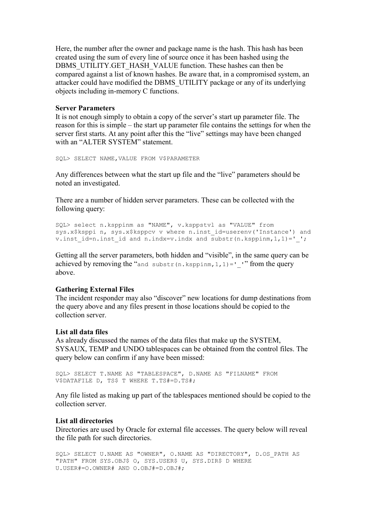Here, the number after the owner and package name is the hash. This hash has been created using the sum of every line of source once it has been hashed using the DBMS\_UTILITY.GET\_HASH\_VALUE function. These hashes can then be compared against a list of known hashes. Be aware that, in a compromised system, an attacker could have modified the DBMS\_UTILITY package or any of its underlying objects including in-memory C functions.

# Server Parameters

It is not enough simply to obtain a copy of the server's start up parameter file. The reason for this is simple – the start up parameter file contains the settings for when the server first starts. At any point after this the "live" settings may have been changed with an "ALTER SYSTEM" statement.

SQL> SELECT NAME,VALUE FROM V\$PARAMETER

Any differences between what the start up file and the "live" parameters should be noted an investigated.

There are a number of hidden server parameters. These can be collected with the following query:

```
SQL> select n.ksppinm as "NAME", v.ksppstvl as "VALUE" from 
sys.x$ksppi n, sys.x$ksppcv v where n.inst_id=userenv('Instance') and 
v.inst id=n.inst id and n.indx=v.indx and substr(n.ksppinm,1,1)='';
```
Getting all the server parameters, both hidden and "visible", in the same query can be achieved by removing the "and substr(n.ksppinm, 1, 1)=' '" from the query above.

# Gathering External Files

The incident responder may also "discover" new locations for dump destinations from the query above and any files present in those locations should be copied to the collection server.

### List all data files

As already discussed the names of the data files that make up the SYSTEM, SYSAUX, TEMP and UNDO tablespaces can be obtained from the control files. The query below can confirm if any have been missed:

```
SQL> SELECT T.NAME AS "TABLESPACE", D.NAME AS "FILNAME" FROM 
V$DATAFILE D, TS$ T WHERE T.TS#=D.TS#;
```
Any file listed as making up part of the tablespaces mentioned should be copied to the collection server.

### List all directories

Directories are used by Oracle for external file accesses. The query below will reveal the file path for such directories.

```
SQL> SELECT U.NAME AS "OWNER", O.NAME AS "DIRECTORY", D.OS_PATH AS 
"PATH" FROM SYS.OBJ$ O, SYS.USER$ U, SYS.DIR$ D WHERE
U.USER#=O.OWNER# AND O.OBJ#=D.OBJ#;
```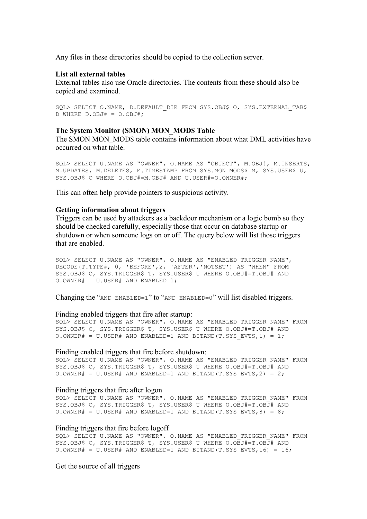Any files in these directories should be copied to the collection server.

#### List all external tables

External tables also use Oracle directories. The contents from these should also be copied and examined.

```
SOL> SELECT O.NAME, D.DEFAULT DIR FROM SYS.OBJ$ O, SYS.EXTERNAL TAB$
D WHERE D.OBJ# = O.OBJ#;
```
#### The System Monitor (SMON) MON\_MOD\$ Table

The SMON MON MOD\$ table contains information about what DML activities have occurred on what table.

SQL> SELECT U.NAME AS "OWNER", O.NAME AS "OBJECT", M.OBJ#, M.INSERTS, M. UPDATES, M. DELETES, M. TIMESTAMP FROM SYS. MON MODS\$ M, SYS. USER\$ U, SYS.OBJ\$ O WHERE O.OBJ#=M.OBJ# AND U.USER#=O.OWNER#;

This can often help provide pointers to suspicious activity.

### Getting information about triggers

Triggers can be used by attackers as a backdoor mechanism or a logic bomb so they should be checked carefully, especially those that occur on database startup or shutdown or when someone logs on or off. The query below will list those triggers that are enabled.

SQL> SELECT U.NAME AS "OWNER", O.NAME AS "ENABLED\_TRIGGER\_NAME", DECODE(T.TYPE#, 0, 'BEFORE',2, 'AFTER','NOTSET') AS "WHEN" FROM SYS.OBJ\$ O, SYS.TRIGGER\$ T, SYS.USER\$ U WHERE O.OBJ#=T.OBJ# AND O.OWNER# = U.USER# AND ENABLED=1;

Changing the "AND ENABLED=1" to "AND ENABLED=0" will list disabled triggers.

### Finding enabled triggers that fire after startup:

SQL> SELECT U.NAME AS "OWNER", O.NAME AS "ENABLED TRIGGER NAME" FROM SYS.OBJ\$ O, SYS.TRIGGER\$ T, SYS.USER\$ U WHERE O.OBJ#=T.OBJ# AND O.OWNER# = U.USER# AND ENABLED=1 AND BITAND(T.SYS EVTS, 1) = 1;

#### Finding enabled triggers that fire before shutdown:

SQL> SELECT U.NAME AS "OWNER", O.NAME AS "ENABLED TRIGGER NAME" FROM SYS.OBJ\$ O, SYS.TRIGGER\$ T, SYS.USER\$ U WHERE O.OBJ#=T.OBJ# AND O.OWNER# = U.USER# AND ENABLED=1 AND BITAND(T.SYS EVTS, 2) = 2;

#### Finding triggers that fire after logon

SQL> SELECT U.NAME AS "OWNER", O.NAME AS "ENABLED TRIGGER NAME" FROM SYS.OBJ\$ O, SYS.TRIGGER\$ T, SYS.USER\$ U WHERE O.OBJ#=T.OBJ# AND O.OWNER# = U.USER# AND ENABLED=1 AND BITAND(T.SYS EVTS, 8) = 8;

#### Finding triggers that fire before logoff

SQL> SELECT U.NAME AS "OWNER", O.NAME AS "ENABLED TRIGGER NAME" FROM SYS.OBJ\$ O, SYS.TRIGGER\$ T, SYS.USER\$ U WHERE O.OBJ#=T.OBJ# AND O.OWNER# = U.USER# AND ENABLED=1 AND BITAND(T.SYS EVTS,16) =  $16$ ;

Get the source of all triggers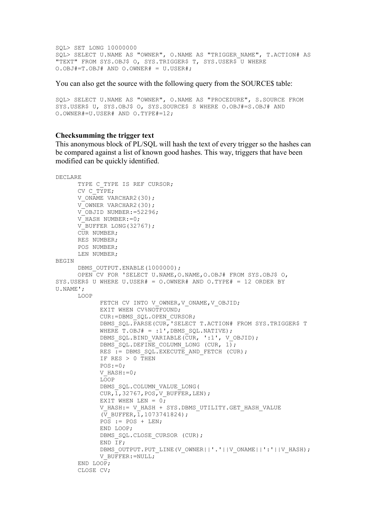```
SQL> SET LONG 10000000 
SQL> SELECT U.NAME AS "OWNER", O.NAME AS "TRIGGER NAME", T.ACTION# AS
"TEXT" FROM SYS.OBJ$ O, SYS.TRIGGER$ T, SYS.USER$ U WHERE
O.OBJ#=T.OBJ# AND O.OWNER# = U.USER#;
```
You can also get the source with the following query from the SOURCE\$ table:

```
SQL> SELECT U.NAME AS "OWNER", O.NAME AS "PROCEDURE", S.SOURCE FROM 
SYS.USER$ U, SYS.OBJ$ O, SYS.SOURCE$ S WHERE O.OBJ#=S.OBJ# AND 
O.OWNER#=U.USER# AND O.TYPE#=12;
```
#### Checksumming the trigger text

This anonymous block of PL/SQL will hash the text of every trigger so the hashes can be compared against a list of known good hashes. This way, triggers that have been modified can be quickly identified.

```
DECLARE 
      TYPE C TYPE IS REF CURSOR;
       CV C_TYPE; 
      V ONAME VARCHAR2(30);
      V OWNER VARCHAR2(30);
       V_OBJID NUMBER:=52296; 
      VHASH NUMBER:=0;
      VBUFFER LONG(32767);
      CUR NUMBER;
       RES NUMBER; 
       POS NUMBER; 
       LEN NUMBER; 
BEGIN 
      DBMS OUTPUT. ENABLE(1000000);
       OPEN CV FOR 'SELECT U.NAME,O.NAME,O.OBJ# FROM SYS.OBJ$ O, 
SYS.USER$ U WHERE U.USER# = O.OWNER# AND O.TYPE# = 12 ORDER BY 
U.NAME'; 
       LOOP 
             FETCH CV INTO V OWNER, V ONAME, V OBJID;
            EXIT WHEN CV%NOTFOUND;
              CUR:=DBMS_SQL.OPEN_CURSOR; 
             DBMS SOL. PARSE(CUR, 'SELECT T.ACTION# FROM SYS.TRIGGER$ T
             WHERE T.OBJ# = :1', DBMS SQL.NATIVE);
             DBMS SQL.BIND VARIABLE(CUR, ':1', V_OBJID);
             DBMS SQL.DEFINE COLUMN LONG (CUR, 1);
             RES := DBMS SQL.EXECUTE AND FETCH (CUR);
            IF RES > 0 THEN
            POS:=0:
            V_HASH:=0;
             LOOP 
             DBMS_SQL.COLUMN_VALUE_LONG( 
            CUR, \overline{1}, 32767, POS, V BUFFER, LEN);
             EXIT WHEN LEN = 0;
             V HASH:= V HASH + SYS.DBMS UTILITY.GET HASH VALUE
             (\bar{V} BUFFER, 1,1073741824);
             \overline{POS} := POS + LEN;
              END LOOP; 
             DBMS_SOL.CLOSE_CURSOR (CUR);
             END IF;
             DBMS_OUTPUT.PUT_LINE(V_OWNER||'.'||V_ONAME||':'||V_HASH);
              V_BUFFER:=NULL; 
       END LOOP; 
       CLOSE CV;
```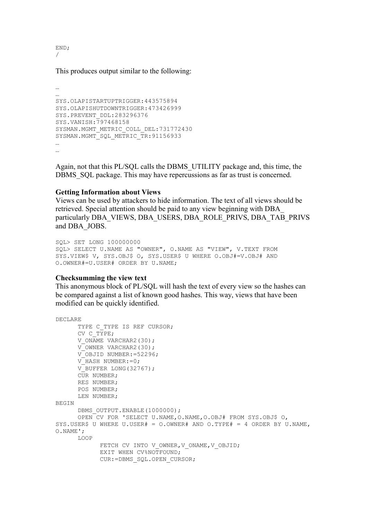END; /

…

This produces output similar to the following:

```
… 
SYS.OLAPISTARTUPTRIGGER:443575894 
SYS.OLAPISHUTDOWNTRIGGER:473426999 
SYS.PREVENT_DDL:283296376 
SYS.VANISH:797468158 
SYSMAN.MGMT_METRIC_COLL_DEL:731772430 
SYSMAN.MGMT_SQL_METRIC_TR:91156933 
… 
…
```
Again, not that this PL/SQL calls the DBMS\_UTILITY package and, this time, the DBMS SQL package. This may have repercussions as far as trust is concerned.

# Getting Information about Views

Views can be used by attackers to hide information. The text of all views should be retrieved. Special attention should be paid to any view beginning with DBA\_ particularly DBA\_VIEWS, DBA\_USERS, DBA\_ROLE\_PRIVS, DBA\_TAB\_PRIVS and DBA\_JOBS.

```
SQL> SET LONG 100000000 
SQL> SELECT U.NAME AS "OWNER", O.NAME AS "VIEW", V.TEXT FROM 
SYS.VIEW$ V, SYS.OBJ$ O, SYS.USER$ U WHERE O.OBJ#=V.OBJ# AND 
O.OWNER#=U.USER# ORDER BY U.NAME;
```
# Checksumming the view text

This anonymous block of PL/SQL will hash the text of every view so the hashes can be compared against a list of known good hashes. This way, views that have been modified can be quickly identified.

```
DECLARE 
      TYPE C TYPE IS REF CURSOR;
       CV C_TYPE; 
      V ONAME VARCHAR2(30);
      V OWNER VARCHAR2(30);
      V OBJID NUMBER: = 52296;
      V HASH NUMBER:=0;
      V BUFFER LONG(32767);
       CUR NUMBER; 
       RES NUMBER; 
       POS NUMBER; 
       LEN NUMBER; 
BEGIN 
      DBMS OUTPUT. ENABLE(1000000);
       OPEN CV FOR 'SELECT U.NAME,O.NAME,O.OBJ# FROM SYS.OBJ$ O, 
SYS.USER$ U WHERE U.USER# = 0.0WNER# AND 0. TYPE# = 4 ORDER BY U.NAME,
O.NAME'; 
       LOOP 
            FETCH CV INTO V OWNER, V ONAME, V OBJID;
            EXIT WHEN CV%NOTFOUND;
             CUR:=DBMS_SQL.OPEN_CURSOR;
```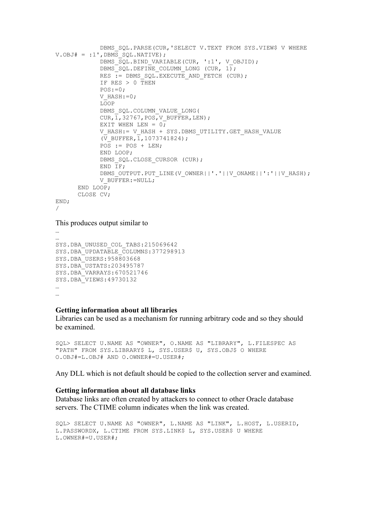```
DBMS SQL.PARSE(CUR, 'SELECT V.TEXT FROM SYS.VIEW$ V WHERE
V.OBJ# = :1', DBMS SQL.NATIVE);
            DBMS SQL.BIND VARIABLE(CUR, ':1', V OBJID);
            DBMS SQL.DEFINE COLUMN LONG (CUR, 1);
            RES := DBMS SQL.EXECUTE AND FETCH (CUR);
             IF RES > 0 THEN 
            POS:=0;V HASH: = 0;
             LOOP 
             DBMS_SQL.COLUMN_VALUE_LONG( 
            CUR, 1, 32767, POS, V BUFFER, LEN);
            EXIT WHEN LEN = 0;V HASH:= V HASH + SYS.DBMS UTILITY.GET HASH VALUE
            (\bar{V} BUFFER, 1,1073741824);
            POS := POS + LEN; END LOOP; 
            DBMS SOL.CLOSE CURSOR (CUR);
            END TF:DBMS_OUTPUT.PUT_LINE(V_OWNER||'.'||V_ONAME||':'||V_HASH);
            V_BUFFER:=NULL;
      END LOOP;
       CLOSE CV; 
END; 
/
```
This produces output similar to

…

```
… 
SYS.DBA_UNUSED_COL_TABS:215069642 
SYS.DBA_UPDATABLE_COLUMNS:377298913 
SYS.DBA_USERS:958803668 
SYS.DBA_USTATS:203495787 
SYS.DBA_VARRAYS:670521746 
SYS.DBA_VIEWS:49730132 
… 
…
```
# Getting information about all libraries

Libraries can be used as a mechanism for running arbitrary code and so they should be examined.

```
SQL> SELECT U.NAME AS "OWNER", O.NAME AS "LIBRARY", L.FILESPEC AS 
"PATH" FROM SYS.LIBRARY$ L, SYS.USER$ U, SYS.OBJ$ O WHERE 
O.OBJ#=L.OBJ# AND O.OWNER#=U.USER#;
```
Any DLL which is not default should be copied to the collection server and examined.

### Getting information about all database links

Database links are often created by attackers to connect to other Oracle database servers. The CTIME column indicates when the link was created.

```
SQL> SELECT U.NAME AS "OWNER", L.NAME AS "LINK", L.HOST, L.USERID, 
L.PASSWORDX, L.CTIME FROM SYS.LINK$ L, SYS.USER$ U WHERE 
L.OWNER#=U.USER#;
```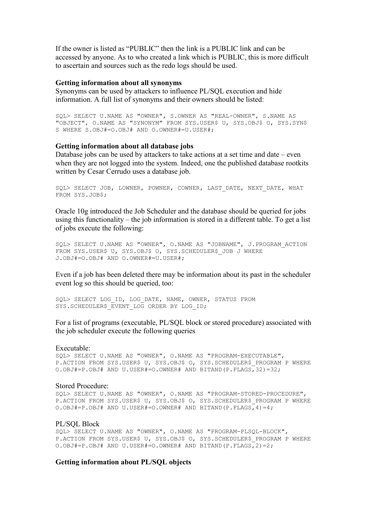If the owner is listed as "PUBLIC" then the link is a PUBLIC link and can be accessed by anyone. As to who created a link which is PUBLIC, this is more difficult to ascertain and sources such as the redo logs should be used.

#### Getting information about all synonyms

Synonyms can be used by attackers to influence PL/SQL execution and hide information. A full list of synonyms and their owners should be listed:

SQL> SELECT U.NAME AS "OWNER", S.OWNER AS "REAL-OWNER", S.NAME AS "OBJECT", O.NAME AS "SYNONYM" FROM SYS.USER\$ U, SYS.OBJ\$ O, SYS.SYN\$ S WHERE S.OBJ#=O.OBJ# AND O.OWNER#=U.USER#;

#### Getting information about all database jobs

Database jobs can be used by attackers to take actions at a set time and date – even when they are not logged into the system. Indeed, one the published database rootkits written by Cesar Cerrudo uses a database job.

SOL> SELECT JOB, LOWNER, POWNER, COWNER, LAST DATE, NEXT DATE, WHAT FROM SYS.JOB\$;

Oracle 10g introduced the Job Scheduler and the database should be queried for jobs using this functionality – the job information is stored in a different table. To get a list of jobs execute the following:

SQL> SELECT U.NAME AS "OWNER", O.NAME AS "JOBNAME", J.PROGRAM\_ACTION FROM SYS.USER\$ U, SYS.OBJ\$ O, SYS.SCHEDULER\$ JOB J WHERE J.OBJ#=O.OBJ# AND O.OWNER#=U.USER#;

Even if a job has been deleted there may be information about its past in the scheduler event log so this should be queried, too:

SQL> SELECT LOG\_ID, LOG\_DATE, NAME, OWNER, STATUS FROM SYS.SCHEDULER\$ EVENT LOG ORDER BY LOG ID;

For a list of programs (executable, PL/SQL block or stored procedure) associated with the job scheduler execute the following queries

#### Executable:

SQL> SELECT U.NAME AS "OWNER", O.NAME AS "PROGRAM-EXECUTABLE", P.ACTION FROM SYS.USER\$ U, SYS.OBJ\$ O, SYS.SCHEDULER\$ PROGRAM P WHERE  $O.OBJ#=P.OBJ# AND U.USER#=O.OWNER# AND BITAND(P.FLAGS, 32)=32;$ 

#### Stored Procedure:

SQL> SELECT U.NAME AS "OWNER", O.NAME AS "PROGRAM-STORED-PROCEDURE", P.ACTION FROM SYS.USER\$ U, SYS.OBJ\$ O, SYS.SCHEDULER\$ PROGRAM P WHERE O.OBJ#=P.OBJ# AND U.USER#=O.OWNER# AND BITAND(P.FLAGS, 4)=4;

#### PL/SQL Block

SQL> SELECT U.NAME AS "OWNER", O.NAME AS "PROGRAM-PLSQL-BLOCK", P.ACTION FROM SYS.USER\$ U, SYS.OBJ\$ O, SYS.SCHEDULER\$ PROGRAM P WHERE O.OBJ#=P.OBJ# AND U.USER#=O.OWNER# AND BITAND(P.FLAGS, 2)=2;

### Getting information about PL/SQL objects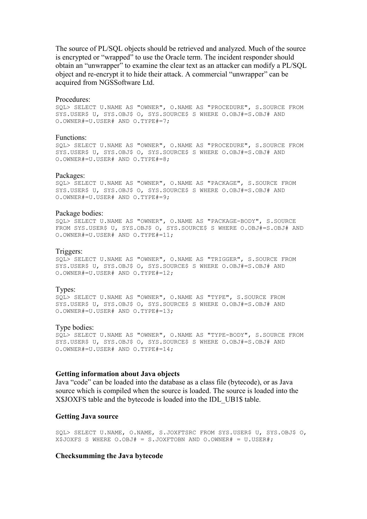The source of PL/SQL objects should be retrieved and analyzed. Much of the source is encrypted or "wrapped" to use the Oracle term. The incident responder should obtain an "unwrapper" to examine the clear text as an attacker can modify a PL/SQL object and re-encrypt it to hide their attack. A commercial "unwrapper" can be acquired from NGSSoftware Ltd.

#### Procedures:

SQL> SELECT U.NAME AS "OWNER", O.NAME AS "PROCEDURE", S.SOURCE FROM SYS.USER\$ U, SYS.OBJ\$ O, SYS.SOURCE\$ S WHERE O.OBJ#=S.OBJ# AND O.OWNER#=U.USER# AND O.TYPE#=7;

#### Functions:

SQL> SELECT U.NAME AS "OWNER", O.NAME AS "PROCEDURE", S.SOURCE FROM SYS.USER\$ U, SYS.OBJ\$ O, SYS.SOURCE\$ S WHERE O.OBJ#=S.OBJ# AND O.OWNER#=U.USER# AND O.TYPE#=8;

#### Packages:

SQL> SELECT U.NAME AS "OWNER", O.NAME AS "PACKAGE", S.SOURCE FROM SYS.USER\$ U, SYS.OBJ\$ O, SYS.SOURCE\$ S WHERE O.OBJ#=S.OBJ# AND O.OWNER#=U.USER# AND O.TYPE#=9;

#### Package bodies:

SQL> SELECT U.NAME AS "OWNER", O.NAME AS "PACKAGE-BODY", S.SOURCE FROM SYS.USER\$ U, SYS.OBJ\$ O, SYS.SOURCE\$ S WHERE O.OBJ#=S.OBJ# AND O.OWNER#=U.USER# AND O.TYPE#=11;

### Triggers:

SQL> SELECT U.NAME AS "OWNER", O.NAME AS "TRIGGER", S.SOURCE FROM SYS.USER\$ U, SYS.OBJ\$ O, SYS.SOURCE\$ S WHERE O.OBJ#=S.OBJ# AND O.OWNER#=U.USER# AND O.TYPE#=12;

#### Types:

SQL> SELECT U.NAME AS "OWNER", O.NAME AS "TYPE", S.SOURCE FROM SYS.USER\$ U, SYS.OBJ\$ O, SYS.SOURCE\$ S WHERE O.OBJ#=S.OBJ# AND O.OWNER#=U.USER# AND O.TYPE#=13;

#### Type bodies:

SQL> SELECT U.NAME AS "OWNER", O.NAME AS "TYPE-BODY", S.SOURCE FROM SYS.USER\$ U, SYS.OBJ\$ O, SYS.SOURCE\$ S WHERE O.OBJ#=S.OBJ# AND O.OWNER#=U.USER# AND O.TYPE#=14;

### Getting information about Java objects

Java "code" can be loaded into the database as a class file (bytecode), or as Java source which is compiled when the source is loaded. The source is loaded into the X\$JOXFS table and the bytecode is loaded into the IDL\_UB1\$ table.

#### Getting Java source

SQL> SELECT U.NAME, O.NAME, S.JOXFTSRC FROM SYS.USER\$ U, SYS.OBJ\$ O, X\$JOXFS S WHERE  $O.OBJ# = S.JOXFTOBN AND O.OWNER# = U.USER#;$ 

### Checksumming the Java bytecode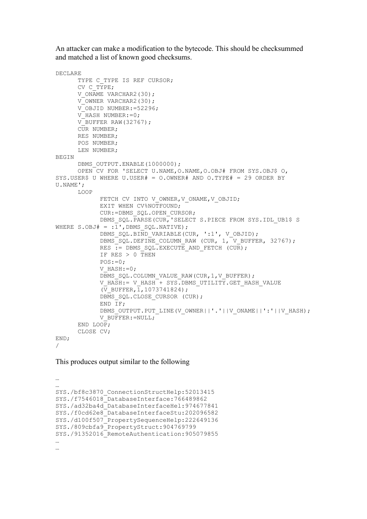An attacker can make a modification to the bytecode. This should be checksummed and matched a list of known good checksums.

```
DECLARE 
      TYPE C TYPE IS REF CURSOR;
      CV C TYPE;
      V ONAME VARCHAR2(30);
      VOWNER VARCHAR2(30);
       V_OBJID NUMBER:=52296; 
      VHASH NUMBER:=0;
      VBUFFER RAW(32767);
      CUR NUMBER;
       RES NUMBER; 
       POS NUMBER; 
       LEN NUMBER; 
BEGIN 
      DBMS OUTPUT. ENABLE(1000000);
       OPEN CV FOR 'SELECT U.NAME,O.NAME,O.OBJ# FROM SYS.OBJ$ O, 
SYS.USER$ U WHERE U.USER# = O.OWNER# AND O.TYPE# = 29 ORDER BY 
U.NAME'; 
       LOOP 
            FETCH CV INTO V OWNER, V ONAME, V OBJID;
             EXIT WHEN CV%NOTFOUND; 
             CUR:=DBMS_SQL.OPEN_CURSOR; 
            DBMS_SOL.PARSE(CUR, 'SELECT S.PIECE FROM SYS.IDL_UB1$ S
WHERE S.OBJ# = :\overline{1}', DBMS SOL. NATIVE);
            DBMS SQL.BIND VARIABLE(CUR, ':1', V OBJID);
            DBMS SQL.DEFINE COLUMN RAW (CUR, 1, V BUFFER, 32767);
            RES := DBMS SOL. EXECUTE AND FETCH (CUR);
            IF RES > 0 THEN
            POS:=0;V_HASH:=0;
            DBMS_SOL.COLUMN_VALUE_RAW(CUR, 1, V_BUFFER);
            V HASH:= V HASH + SYS.DBMS UTILITY.GET HASH VALUE
             (\bar{V} BUFFER, 1,1073741824);
            DBMS SQL.CLOSE CURSOR (CUR);
            END IF;
            DBMS_OUTPUT.PUT_LINE(V_OWNER||'.'||V_ONAME||':'||V_HASH);
            V_BUFFER:=NULL;
      END LOOP;
       CLOSE CV; 
END; 
/
```
### This produces output similar to the following

```
… 
… 
SYS./bf8c3870_ConnectionStructHelp:52013415 
SYS./f7546018_DatabaseInterface:766489862 
SYS./ad32ba4d_DatabaseInterfaceHel:974677841 
SYS./f0cd62e8_DatabaseInterfaceStu:202096582 
SYS./d100f507_PropertySequenceHelp:222649136 
SYS./809cbfa9_PropertyStruct:904769799 
SYS./91352016_RemoteAuthentication:905079855 
… 
…
```